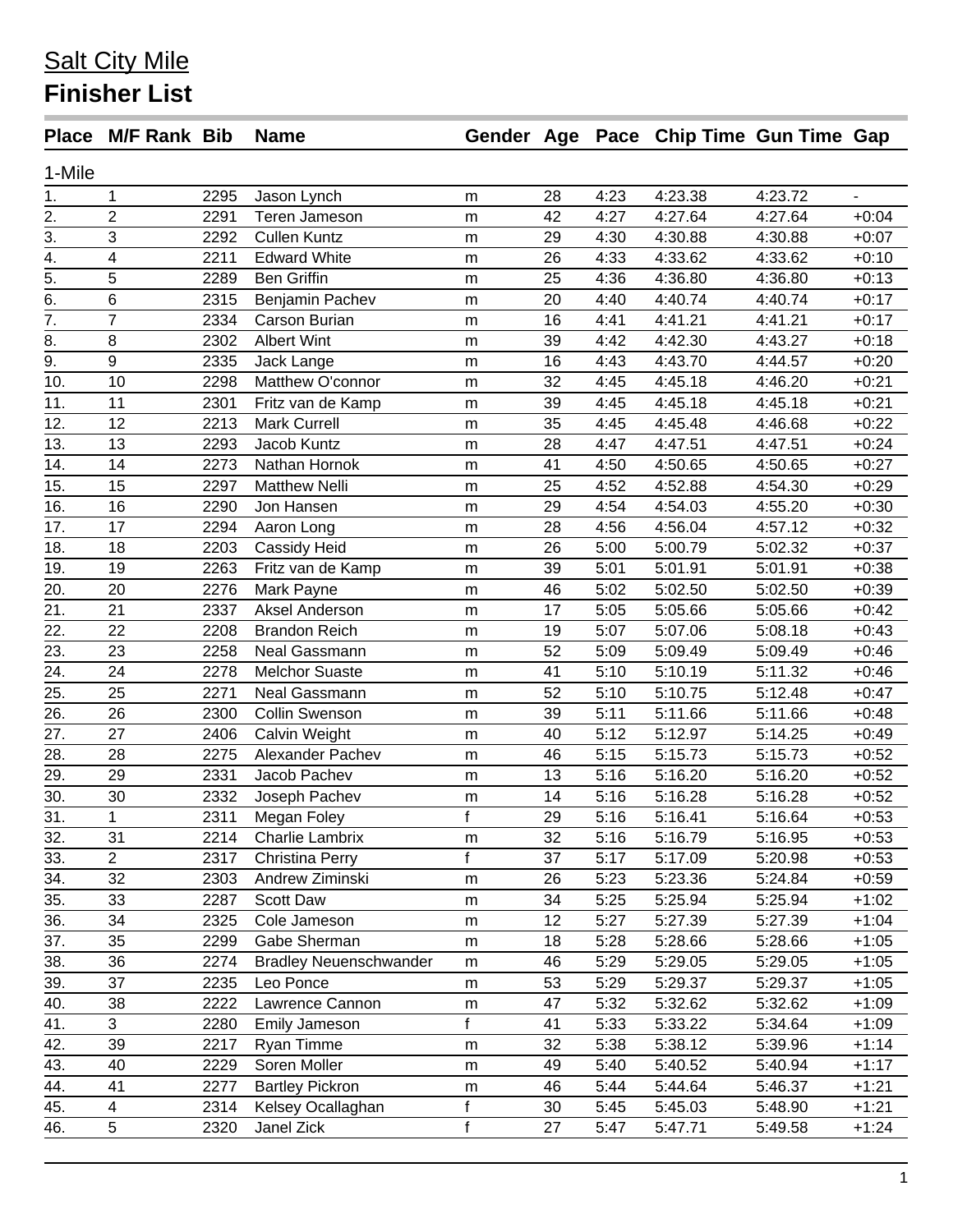## **Salt City Mile Finisher List**

|                   | Place M/F Rank Bib      |      | <b>Name</b>                   |              |    |      | Gender Age Pace Chip Time Gun Time Gap |         |         |
|-------------------|-------------------------|------|-------------------------------|--------------|----|------|----------------------------------------|---------|---------|
| 1-Mile            |                         |      |                               |              |    |      |                                        |         |         |
| 1.                | 1                       | 2295 | Jason Lynch                   | m            | 28 | 4:23 | 4:23.38                                | 4:23.72 |         |
| 2.                | 2                       | 2291 | Teren Jameson                 | m            | 42 | 4:27 | 4:27.64                                | 4:27.64 | $+0:04$ |
| $\overline{3}$ .  | 3                       | 2292 | <b>Cullen Kuntz</b>           | m            | 29 | 4:30 | 4:30.88                                | 4:30.88 | $+0:07$ |
| $\overline{4}$ .  | $\overline{\mathbf{4}}$ | 2211 | <b>Edward White</b>           | m            | 26 | 4:33 | 4:33.62                                | 4:33.62 | $+0:10$ |
| $\overline{5}$ .  | 5                       | 2289 | <b>Ben Griffin</b>            | m            | 25 | 4:36 | 4:36.80                                | 4:36.80 | $+0:13$ |
| $\overline{6}$ .  | $\,6$                   | 2315 | Benjamin Pachev               | m            | 20 | 4:40 | 4:40.74                                | 4:40.74 | $+0:17$ |
| $\overline{7}$ .  | $\overline{7}$          | 2334 | Carson Burian                 | m            | 16 | 4:41 | 4:41.21                                | 4:41.21 | $+0:17$ |
| 8.                | 8                       | 2302 | <b>Albert Wint</b>            | m            | 39 | 4:42 | 4:42.30                                | 4:43.27 | $+0:18$ |
| $\overline{9}$ .  | 9                       | 2335 | Jack Lange                    | ${\sf m}$    | 16 | 4:43 | 4:43.70                                | 4:44.57 | $+0:20$ |
| 10.               | 10                      | 2298 | Matthew O'connor              | m            | 32 | 4:45 | 4:45.18                                | 4:46.20 | $+0:21$ |
| 11.               | 11                      | 2301 | Fritz van de Kamp             | m            | 39 | 4:45 | 4:45.18                                | 4:45.18 | $+0:21$ |
| 12.               | 12                      | 2213 | <b>Mark Currell</b>           | m            | 35 | 4:45 | 4:45.48                                | 4:46.68 | $+0:22$ |
| 13.               | 13                      | 2293 | Jacob Kuntz                   | m            | 28 | 4:47 | 4:47.51                                | 4:47.51 | $+0:24$ |
| 14.               | 14                      | 2273 | Nathan Hornok                 | m            | 41 | 4:50 | 4:50.65                                | 4:50.65 | $+0:27$ |
| 15.               | 15                      | 2297 | <b>Matthew Nelli</b>          | m            | 25 | 4:52 | 4:52.88                                | 4:54.30 | $+0:29$ |
| 16.               | 16                      | 2290 | Jon Hansen                    | m            | 29 | 4:54 | 4:54.03                                | 4:55.20 | $+0:30$ |
| 17.               | 17                      | 2294 | Aaron Long                    | m            | 28 | 4:56 | 4:56.04                                | 4:57.12 | $+0:32$ |
| 18.               | 18                      | 2203 | Cassidy Heid                  | ${\sf m}$    | 26 | 5:00 | 5:00.79                                | 5:02.32 | $+0:37$ |
| 19.               | 19                      | 2263 | Fritz van de Kamp             | m            | 39 | 5:01 | 5:01.91                                | 5:01.91 | $+0:38$ |
| 20.               | 20                      | 2276 | Mark Payne                    | m            | 46 | 5:02 | 5:02.50                                | 5:02.50 | $+0:39$ |
| 21.               | 21                      | 2337 | Aksel Anderson                | m            | 17 | 5:05 | 5:05.66                                | 5:05.66 | $+0:42$ |
| 22.               | 22                      | 2208 | <b>Brandon Reich</b>          | m            | 19 | 5:07 | 5:07.06                                | 5:08.18 | $+0:43$ |
| $\overline{23}$ . | 23                      | 2258 | Neal Gassmann                 | m            | 52 | 5:09 | 5:09.49                                | 5:09.49 | $+0:46$ |
| 24.               | 24                      | 2278 | <b>Melchor Suaste</b>         | m            | 41 | 5:10 | 5:10.19                                | 5:11.32 | $+0:46$ |
| 25.               | 25                      | 2271 | Neal Gassmann                 | m            | 52 | 5:10 | 5:10.75                                | 5:12.48 | $+0:47$ |
| 26.               | 26                      | 2300 | Collin Swenson                | m            | 39 | 5:11 | 5:11.66                                | 5:11.66 | $+0:48$ |
| 27.               | 27                      | 2406 | Calvin Weight                 | ${\sf m}$    | 40 | 5:12 | 5:12.97                                | 5:14.25 | $+0:49$ |
| 28.               | 28                      | 2275 | Alexander Pachev              | m            | 46 | 5:15 | 5:15.73                                | 5:15.73 | $+0:52$ |
| 29.               | 29                      | 2331 | Jacob Pachev                  | m            | 13 | 5:16 | 5:16.20                                | 5:16.20 | $+0:52$ |
| 30.               | 30                      | 2332 | Joseph Pachev                 | m            | 14 | 5:16 | 5:16.28                                | 5:16.28 | $+0:52$ |
| $\overline{31}$ . | 1                       | 2311 | Megan Foley                   | $\mathsf{f}$ | 29 | 5:16 | 5:16.41                                | 5:16.64 | $+0:53$ |
| 32.               | 31                      | 2214 | Charlie Lambrix               | m            | 32 | 5:16 | 5:16.79                                | 5:16.95 | $+0:53$ |
| 33.               | $\overline{2}$          | 2317 | Christina Perry               | f            | 37 | 5:17 | 5:17.09                                | 5:20.98 | $+0:53$ |
| 34.               | 32                      | 2303 | Andrew Ziminski               | m            | 26 | 5:23 | 5:23.36                                | 5:24.84 | $+0:59$ |
| 35.               | 33                      | 2287 | Scott Daw                     | m            | 34 | 5:25 | 5:25.94                                | 5:25.94 | $+1:02$ |
| 36.               | 34                      | 2325 | Cole Jameson                  | m            | 12 | 5:27 | 5:27.39                                | 5:27.39 | $+1:04$ |
| 37.               | 35                      | 2299 | Gabe Sherman                  | m            | 18 | 5:28 | 5:28.66                                | 5:28.66 | $+1:05$ |
| 38.               | 36                      | 2274 | <b>Bradley Neuenschwander</b> | m            | 46 | 5:29 | 5:29.05                                | 5:29.05 | $+1:05$ |
| 39.               | 37                      | 2235 | Leo Ponce                     | m            | 53 | 5:29 | 5:29.37                                | 5:29.37 | $+1:05$ |
| 40.               | 38                      | 2222 | Lawrence Cannon               | m            | 47 | 5:32 | 5:32.62                                | 5:32.62 | $+1:09$ |
| 41.               | 3                       | 2280 | Emily Jameson                 | f            | 41 | 5:33 | 5:33.22                                | 5:34.64 | $+1:09$ |
| 42.               | 39                      | 2217 | Ryan Timme                    | m            | 32 | 5:38 | 5:38.12                                | 5:39.96 | $+1:14$ |
| 43.               | 40                      | 2229 | Soren Moller                  | m            | 49 | 5:40 | 5:40.52                                | 5:40.94 | $+1:17$ |
| 44.               | 41                      | 2277 | <b>Bartley Pickron</b>        | m            | 46 | 5:44 | 5:44.64                                | 5:46.37 | $+1:21$ |
| 45.               | $\overline{\mathbf{4}}$ | 2314 | Kelsey Ocallaghan             | f            | 30 | 5:45 | 5:45.03                                | 5:48.90 | $+1:21$ |
| 46.               | $\overline{5}$          | 2320 | Janel Zick                    | $\mathsf f$  | 27 | 5:47 | 5:47.71                                | 5:49.58 | $+1:24$ |
|                   |                         |      |                               |              |    |      |                                        |         |         |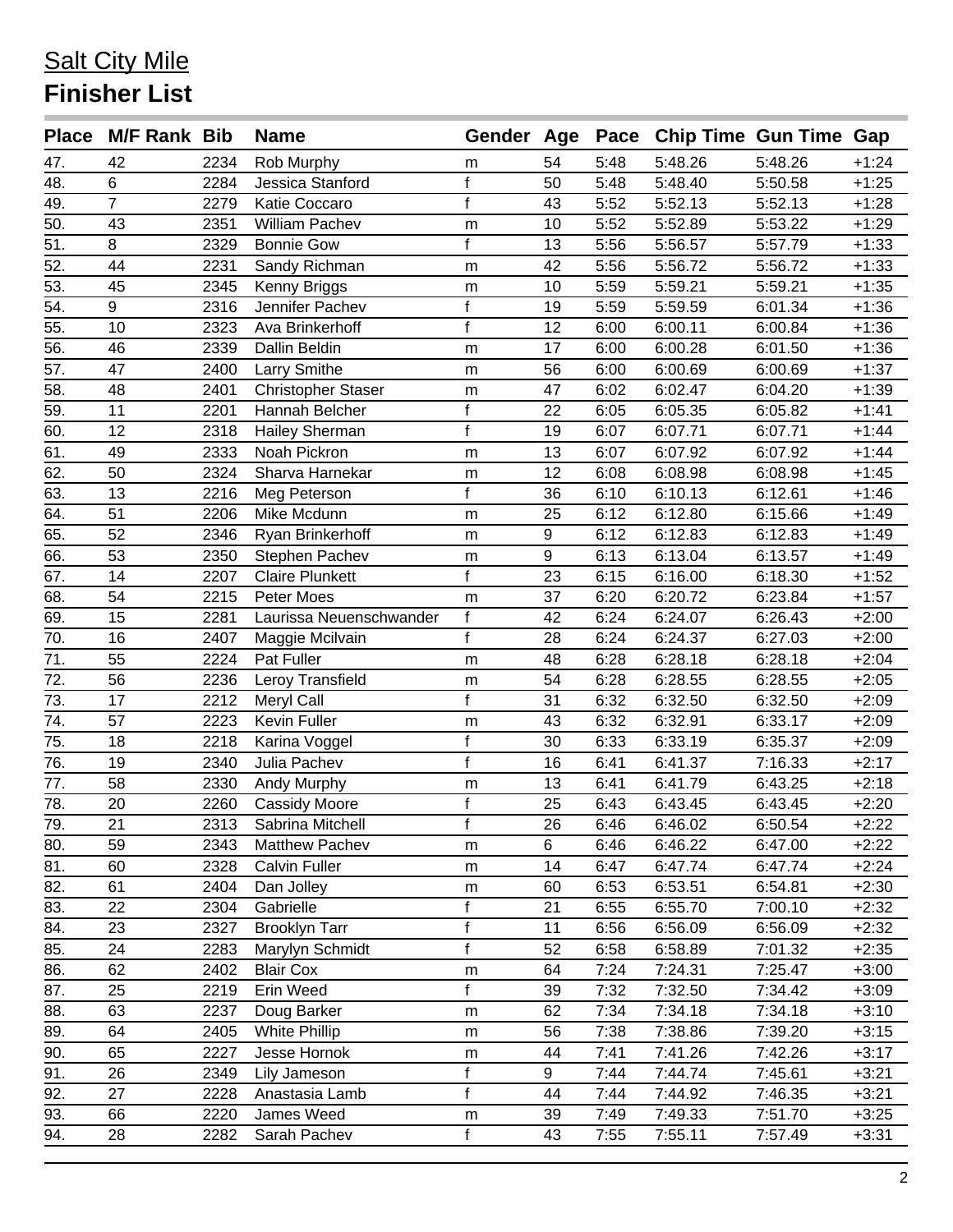## **Salt City Mile Finisher List**

| 2234<br>Rob Murphy<br>5:48<br>5:48.26<br>5:48.26<br>$+1:24$<br>47.<br>42<br>54<br>m<br>6<br>48.<br>f<br>Jessica Stanford<br>50<br>5:48<br>5:48.40<br>5:50.58<br>$+1:25$<br>2284<br>$\overline{7}$<br>f<br>49.<br>2279<br>43<br>5:52<br>5:52.13<br>$+1:28$<br>Katie Coccaro<br>5:52.13<br>50.<br>43<br>2351<br>5:52<br>$+1:29$<br>William Pachev<br>10<br>5:52.89<br>5:53.22<br>m<br>51.<br>8<br>f<br>13<br>5:56<br>$+1:33$<br>2329<br>5:56.57<br>5:57.79<br><b>Bonnie Gow</b><br>52.<br>44<br>42<br>5:56<br>$+1:33$<br>2231<br>Sandy Richman<br>5:56.72<br>5:56.72<br>m<br>53.<br>45<br>2345<br>10<br>5:59<br>5:59.21<br>5:59.21<br>$+1:35$<br>Kenny Briggs<br>m<br>f<br>54.<br>9<br>2316<br>Jennifer Pachev<br>19<br>5:59<br>5:59.59<br>6:01.34<br>$+1:36$<br>55.<br>$\mathsf{f}$<br>$+1:36$<br>10<br>2323<br>Ava Brinkerhoff<br>12<br>6:00.11<br>6:00.84<br>6:00<br>56.<br>46<br>2339<br>Dallin Beldin<br>17<br>6:00<br>6:00.28<br>$+1:36$<br>6:01.50<br>m<br>57.<br>47<br>2400<br>Larry Smithe<br>56<br>6:00<br>$+1:37$<br>6:00.69<br>6:00.69<br>m<br>58.<br>2401<br>48<br><b>Christopher Staser</b><br>47<br>6:02<br>6:02.47<br>6:04.20<br>$+1:39$<br>m<br>f<br>59.<br>11<br>2201<br>22<br>$+1:41$<br>Hannah Belcher<br>6:05<br>6:05.35<br>6:05.82<br>$\mathsf{f}$<br>60.<br>12<br>6:07<br>$+1:44$<br>2318<br>Hailey Sherman<br>19<br>6:07.71<br>6:07.71<br>61.<br>49<br>2333<br>13<br>6:07<br>6:07.92<br>6:07.92<br>$+1:44$<br>Noah Pickron<br>m<br>62.<br>50<br>2324<br>Sharva Harnekar<br>12<br>6:08<br>$+1:45$<br>6:08.98<br>6:08.98<br>m<br>$\mathbf{f}$<br>63.<br>13<br>2216<br>36<br>6:10<br>6:10.13<br>6:12.61<br>$+1:46$<br>Meg Peterson<br>64.<br>51<br>25<br>$+1:49$<br>2206<br>Mike Mcdunn<br>6:12<br>6:12.80<br>6:15.66<br>m<br>9<br>52<br>6:12<br>6:12.83<br>$+1:49$<br>2346<br>Ryan Brinkerhoff<br>6:12.83<br>m<br>9<br>66.<br>53<br>2350<br>Stephen Pachev<br>6:13<br>6:13.04<br>6:13.57<br>$+1:49$<br>m<br>67.<br>f<br>23<br>14<br>6:15<br>2207<br><b>Claire Plunkett</b><br>6:16.00<br>6:18.30<br>$+1:52$<br>68.<br>54<br>2215<br>37<br>6:20.72<br>6:23.84<br>$+1:57$<br>Peter Moes<br>6:20<br>m<br>$\mathsf f$<br>69.<br>2281<br>$+2:00$<br>15<br>Laurissa Neuenschwander<br>42<br>6:24<br>6:24.07<br>6:26.43<br>f<br>16<br>70.<br>2407<br>28<br>6:24<br>6:24.37<br>6:27.03<br>$+2:00$<br>Maggie Mcilvain<br>71.<br>55<br>2224<br>Pat Fuller<br>48<br>6:28<br>6:28.18<br>6:28.18<br>$+2:04$<br>m<br>72.<br>56<br>2236<br>Leroy Transfield<br>54<br>6:28<br>$+2:05$<br>6:28.55<br>6:28.55<br>m<br>73.<br>f<br>$+2:09$<br>17<br>2212<br>Meryl Call<br>31<br>6:32<br>6:32.50<br>6:32.50<br>74.<br>57<br>Kevin Fuller<br>2223<br>43<br>6:32<br>6:32.91<br>6:33.17<br>$+2:09$<br>m<br>$\overline{75}$ .<br>$\mathsf{f}$<br>18<br>30<br>2218<br>6:33<br>6:33.19<br>$+2:09$<br>Karina Voggel<br>6:35.37<br>$\mathsf{f}$<br>76.<br>19<br>2340<br>16<br>6:41<br>7:16.33<br>$+2:17$<br>Julia Pachev<br>6:41.37<br>77.<br>58<br>2330<br>13<br>6:41<br>6:41.79<br>6:43.25<br>$+2:18$<br>Andy Murphy<br>m<br>78.<br>f<br>2260<br>25<br>$+2:20$<br>20<br><b>Cassidy Moore</b><br>6:43<br>6:43.45<br>6:43.45<br>79.<br>$\overline{f}$<br>21<br>26<br>6:46<br>2313 Sabrina Mitchell<br>6:46.02<br>6:50.54<br>$+2:22$<br>6<br>80.<br>59<br>2343<br>Matthew Pachev<br>6:46<br>6:46.22<br>6:47.00<br>$+2:22$<br>m<br>81.<br>60<br>2328<br>14<br>6:47<br>6:47.74<br>6:47.74<br>$+2:24$<br><b>Calvin Fuller</b><br>m<br>82.<br>61<br>2404<br>Dan Jolley<br>6:53<br>$+2:30$<br>60<br>6:53.51<br>6:54.81<br>m<br>$\mathsf{f}$<br>83.<br>22<br>2304<br>Gabrielle<br>21<br>6:55<br>6:55.70<br>7:00.10<br>$+2:32$<br>$\mathsf f$<br>84.<br>23<br>2327<br><b>Brooklyn Tarr</b><br>11<br>6:56<br>6:56.09<br>6:56.09<br>$+2:32$<br>$\mathsf f$<br>85.<br>6:58<br>24<br>2283<br>Marylyn Schmidt<br>52<br>6:58.89<br>7:01.32<br>$+2:35$<br>86.<br>62<br>2402<br>64<br>7:24<br>7:24.31<br>7:25.47<br><b>Blair Cox</b><br>$+3:00$<br>m<br>f<br>87.<br>25<br>2219<br>Erin Weed<br>39<br>7:32<br>7:32.50<br>7:34.42<br>$+3:09$<br>88.<br>63<br>7:34.18<br>2237<br>Doug Barker<br>62<br>7:34<br>7:34.18<br>$+3:10$<br>m<br>89.<br>64<br>2405<br><b>White Phillip</b><br>56<br>7:38<br>7:38.86<br>7:39.20<br>$+3:15$<br>m<br>90.<br>65<br>2227<br>Jesse Hornok<br>44<br>7:41<br>7:41.26<br>7:42.26<br>$+3:17$<br>m<br>f<br>9<br>91.<br>26<br>2349<br>7:44<br>7:45.61<br>$+3:21$<br>7:44.74<br>Lily Jameson<br>f<br>92.<br>27<br>7:44.92<br>7:46.35<br>$+3:21$<br>2228<br>Anastasia Lamb<br>44<br>7:44<br>93.<br>2220<br>7:51.70<br>66<br>James Weed<br>39<br>7:49<br>7:49.33<br>$+3:25$<br>m<br>94.<br>28<br>f<br>43<br>7:55<br>2282<br>Sarah Pachev<br>7:55.11<br>7:57.49<br>$+3:31$ |     | Place M/F Rank Bib | <b>Name</b> |  | Gender Age Pace Chip Time Gun Time Gap |  |
|-------------------------------------------------------------------------------------------------------------------------------------------------------------------------------------------------------------------------------------------------------------------------------------------------------------------------------------------------------------------------------------------------------------------------------------------------------------------------------------------------------------------------------------------------------------------------------------------------------------------------------------------------------------------------------------------------------------------------------------------------------------------------------------------------------------------------------------------------------------------------------------------------------------------------------------------------------------------------------------------------------------------------------------------------------------------------------------------------------------------------------------------------------------------------------------------------------------------------------------------------------------------------------------------------------------------------------------------------------------------------------------------------------------------------------------------------------------------------------------------------------------------------------------------------------------------------------------------------------------------------------------------------------------------------------------------------------------------------------------------------------------------------------------------------------------------------------------------------------------------------------------------------------------------------------------------------------------------------------------------------------------------------------------------------------------------------------------------------------------------------------------------------------------------------------------------------------------------------------------------------------------------------------------------------------------------------------------------------------------------------------------------------------------------------------------------------------------------------------------------------------------------------------------------------------------------------------------------------------------------------------------------------------------------------------------------------------------------------------------------------------------------------------------------------------------------------------------------------------------------------------------------------------------------------------------------------------------------------------------------------------------------------------------------------------------------------------------------------------------------------------------------------------------------------------------------------------------------------------------------------------------------------------------------------------------------------------------------------------------------------------------------------------------------------------------------------------------------------------------------------------------------------------------------------------------------------------------------------------------------------------------------------------------------------------------------------------------------------------------------------------------------------------------------------------------------------------------------------------------------------------------------------------------------------------------------------------------------------------------------------------------------------------------------------------------------------------------------------------------------------------------------------------------------------------------------------------------------------------------------------------------------------------------------------------------------------------------------------------------------------------------------------------------------------------------------------------------------------------------------------------------------------------------------------------------------------------------------------------------------------------------------------------------------------|-----|--------------------|-------------|--|----------------------------------------|--|
|                                                                                                                                                                                                                                                                                                                                                                                                                                                                                                                                                                                                                                                                                                                                                                                                                                                                                                                                                                                                                                                                                                                                                                                                                                                                                                                                                                                                                                                                                                                                                                                                                                                                                                                                                                                                                                                                                                                                                                                                                                                                                                                                                                                                                                                                                                                                                                                                                                                                                                                                                                                                                                                                                                                                                                                                                                                                                                                                                                                                                                                                                                                                                                                                                                                                                                                                                                                                                                                                                                                                                                                                                                                                                                                                                                                                                                                                                                                                                                                                                                                                                                                                                                                                                                                                                                                                                                                                                                                                                                                                                                                                                                                                         |     |                    |             |  |                                        |  |
|                                                                                                                                                                                                                                                                                                                                                                                                                                                                                                                                                                                                                                                                                                                                                                                                                                                                                                                                                                                                                                                                                                                                                                                                                                                                                                                                                                                                                                                                                                                                                                                                                                                                                                                                                                                                                                                                                                                                                                                                                                                                                                                                                                                                                                                                                                                                                                                                                                                                                                                                                                                                                                                                                                                                                                                                                                                                                                                                                                                                                                                                                                                                                                                                                                                                                                                                                                                                                                                                                                                                                                                                                                                                                                                                                                                                                                                                                                                                                                                                                                                                                                                                                                                                                                                                                                                                                                                                                                                                                                                                                                                                                                                                         |     |                    |             |  |                                        |  |
|                                                                                                                                                                                                                                                                                                                                                                                                                                                                                                                                                                                                                                                                                                                                                                                                                                                                                                                                                                                                                                                                                                                                                                                                                                                                                                                                                                                                                                                                                                                                                                                                                                                                                                                                                                                                                                                                                                                                                                                                                                                                                                                                                                                                                                                                                                                                                                                                                                                                                                                                                                                                                                                                                                                                                                                                                                                                                                                                                                                                                                                                                                                                                                                                                                                                                                                                                                                                                                                                                                                                                                                                                                                                                                                                                                                                                                                                                                                                                                                                                                                                                                                                                                                                                                                                                                                                                                                                                                                                                                                                                                                                                                                                         |     |                    |             |  |                                        |  |
|                                                                                                                                                                                                                                                                                                                                                                                                                                                                                                                                                                                                                                                                                                                                                                                                                                                                                                                                                                                                                                                                                                                                                                                                                                                                                                                                                                                                                                                                                                                                                                                                                                                                                                                                                                                                                                                                                                                                                                                                                                                                                                                                                                                                                                                                                                                                                                                                                                                                                                                                                                                                                                                                                                                                                                                                                                                                                                                                                                                                                                                                                                                                                                                                                                                                                                                                                                                                                                                                                                                                                                                                                                                                                                                                                                                                                                                                                                                                                                                                                                                                                                                                                                                                                                                                                                                                                                                                                                                                                                                                                                                                                                                                         |     |                    |             |  |                                        |  |
|                                                                                                                                                                                                                                                                                                                                                                                                                                                                                                                                                                                                                                                                                                                                                                                                                                                                                                                                                                                                                                                                                                                                                                                                                                                                                                                                                                                                                                                                                                                                                                                                                                                                                                                                                                                                                                                                                                                                                                                                                                                                                                                                                                                                                                                                                                                                                                                                                                                                                                                                                                                                                                                                                                                                                                                                                                                                                                                                                                                                                                                                                                                                                                                                                                                                                                                                                                                                                                                                                                                                                                                                                                                                                                                                                                                                                                                                                                                                                                                                                                                                                                                                                                                                                                                                                                                                                                                                                                                                                                                                                                                                                                                                         |     |                    |             |  |                                        |  |
|                                                                                                                                                                                                                                                                                                                                                                                                                                                                                                                                                                                                                                                                                                                                                                                                                                                                                                                                                                                                                                                                                                                                                                                                                                                                                                                                                                                                                                                                                                                                                                                                                                                                                                                                                                                                                                                                                                                                                                                                                                                                                                                                                                                                                                                                                                                                                                                                                                                                                                                                                                                                                                                                                                                                                                                                                                                                                                                                                                                                                                                                                                                                                                                                                                                                                                                                                                                                                                                                                                                                                                                                                                                                                                                                                                                                                                                                                                                                                                                                                                                                                                                                                                                                                                                                                                                                                                                                                                                                                                                                                                                                                                                                         |     |                    |             |  |                                        |  |
|                                                                                                                                                                                                                                                                                                                                                                                                                                                                                                                                                                                                                                                                                                                                                                                                                                                                                                                                                                                                                                                                                                                                                                                                                                                                                                                                                                                                                                                                                                                                                                                                                                                                                                                                                                                                                                                                                                                                                                                                                                                                                                                                                                                                                                                                                                                                                                                                                                                                                                                                                                                                                                                                                                                                                                                                                                                                                                                                                                                                                                                                                                                                                                                                                                                                                                                                                                                                                                                                                                                                                                                                                                                                                                                                                                                                                                                                                                                                                                                                                                                                                                                                                                                                                                                                                                                                                                                                                                                                                                                                                                                                                                                                         |     |                    |             |  |                                        |  |
|                                                                                                                                                                                                                                                                                                                                                                                                                                                                                                                                                                                                                                                                                                                                                                                                                                                                                                                                                                                                                                                                                                                                                                                                                                                                                                                                                                                                                                                                                                                                                                                                                                                                                                                                                                                                                                                                                                                                                                                                                                                                                                                                                                                                                                                                                                                                                                                                                                                                                                                                                                                                                                                                                                                                                                                                                                                                                                                                                                                                                                                                                                                                                                                                                                                                                                                                                                                                                                                                                                                                                                                                                                                                                                                                                                                                                                                                                                                                                                                                                                                                                                                                                                                                                                                                                                                                                                                                                                                                                                                                                                                                                                                                         |     |                    |             |  |                                        |  |
|                                                                                                                                                                                                                                                                                                                                                                                                                                                                                                                                                                                                                                                                                                                                                                                                                                                                                                                                                                                                                                                                                                                                                                                                                                                                                                                                                                                                                                                                                                                                                                                                                                                                                                                                                                                                                                                                                                                                                                                                                                                                                                                                                                                                                                                                                                                                                                                                                                                                                                                                                                                                                                                                                                                                                                                                                                                                                                                                                                                                                                                                                                                                                                                                                                                                                                                                                                                                                                                                                                                                                                                                                                                                                                                                                                                                                                                                                                                                                                                                                                                                                                                                                                                                                                                                                                                                                                                                                                                                                                                                                                                                                                                                         |     |                    |             |  |                                        |  |
|                                                                                                                                                                                                                                                                                                                                                                                                                                                                                                                                                                                                                                                                                                                                                                                                                                                                                                                                                                                                                                                                                                                                                                                                                                                                                                                                                                                                                                                                                                                                                                                                                                                                                                                                                                                                                                                                                                                                                                                                                                                                                                                                                                                                                                                                                                                                                                                                                                                                                                                                                                                                                                                                                                                                                                                                                                                                                                                                                                                                                                                                                                                                                                                                                                                                                                                                                                                                                                                                                                                                                                                                                                                                                                                                                                                                                                                                                                                                                                                                                                                                                                                                                                                                                                                                                                                                                                                                                                                                                                                                                                                                                                                                         |     |                    |             |  |                                        |  |
|                                                                                                                                                                                                                                                                                                                                                                                                                                                                                                                                                                                                                                                                                                                                                                                                                                                                                                                                                                                                                                                                                                                                                                                                                                                                                                                                                                                                                                                                                                                                                                                                                                                                                                                                                                                                                                                                                                                                                                                                                                                                                                                                                                                                                                                                                                                                                                                                                                                                                                                                                                                                                                                                                                                                                                                                                                                                                                                                                                                                                                                                                                                                                                                                                                                                                                                                                                                                                                                                                                                                                                                                                                                                                                                                                                                                                                                                                                                                                                                                                                                                                                                                                                                                                                                                                                                                                                                                                                                                                                                                                                                                                                                                         |     |                    |             |  |                                        |  |
|                                                                                                                                                                                                                                                                                                                                                                                                                                                                                                                                                                                                                                                                                                                                                                                                                                                                                                                                                                                                                                                                                                                                                                                                                                                                                                                                                                                                                                                                                                                                                                                                                                                                                                                                                                                                                                                                                                                                                                                                                                                                                                                                                                                                                                                                                                                                                                                                                                                                                                                                                                                                                                                                                                                                                                                                                                                                                                                                                                                                                                                                                                                                                                                                                                                                                                                                                                                                                                                                                                                                                                                                                                                                                                                                                                                                                                                                                                                                                                                                                                                                                                                                                                                                                                                                                                                                                                                                                                                                                                                                                                                                                                                                         |     |                    |             |  |                                        |  |
|                                                                                                                                                                                                                                                                                                                                                                                                                                                                                                                                                                                                                                                                                                                                                                                                                                                                                                                                                                                                                                                                                                                                                                                                                                                                                                                                                                                                                                                                                                                                                                                                                                                                                                                                                                                                                                                                                                                                                                                                                                                                                                                                                                                                                                                                                                                                                                                                                                                                                                                                                                                                                                                                                                                                                                                                                                                                                                                                                                                                                                                                                                                                                                                                                                                                                                                                                                                                                                                                                                                                                                                                                                                                                                                                                                                                                                                                                                                                                                                                                                                                                                                                                                                                                                                                                                                                                                                                                                                                                                                                                                                                                                                                         |     |                    |             |  |                                        |  |
|                                                                                                                                                                                                                                                                                                                                                                                                                                                                                                                                                                                                                                                                                                                                                                                                                                                                                                                                                                                                                                                                                                                                                                                                                                                                                                                                                                                                                                                                                                                                                                                                                                                                                                                                                                                                                                                                                                                                                                                                                                                                                                                                                                                                                                                                                                                                                                                                                                                                                                                                                                                                                                                                                                                                                                                                                                                                                                                                                                                                                                                                                                                                                                                                                                                                                                                                                                                                                                                                                                                                                                                                                                                                                                                                                                                                                                                                                                                                                                                                                                                                                                                                                                                                                                                                                                                                                                                                                                                                                                                                                                                                                                                                         |     |                    |             |  |                                        |  |
|                                                                                                                                                                                                                                                                                                                                                                                                                                                                                                                                                                                                                                                                                                                                                                                                                                                                                                                                                                                                                                                                                                                                                                                                                                                                                                                                                                                                                                                                                                                                                                                                                                                                                                                                                                                                                                                                                                                                                                                                                                                                                                                                                                                                                                                                                                                                                                                                                                                                                                                                                                                                                                                                                                                                                                                                                                                                                                                                                                                                                                                                                                                                                                                                                                                                                                                                                                                                                                                                                                                                                                                                                                                                                                                                                                                                                                                                                                                                                                                                                                                                                                                                                                                                                                                                                                                                                                                                                                                                                                                                                                                                                                                                         |     |                    |             |  |                                        |  |
|                                                                                                                                                                                                                                                                                                                                                                                                                                                                                                                                                                                                                                                                                                                                                                                                                                                                                                                                                                                                                                                                                                                                                                                                                                                                                                                                                                                                                                                                                                                                                                                                                                                                                                                                                                                                                                                                                                                                                                                                                                                                                                                                                                                                                                                                                                                                                                                                                                                                                                                                                                                                                                                                                                                                                                                                                                                                                                                                                                                                                                                                                                                                                                                                                                                                                                                                                                                                                                                                                                                                                                                                                                                                                                                                                                                                                                                                                                                                                                                                                                                                                                                                                                                                                                                                                                                                                                                                                                                                                                                                                                                                                                                                         |     |                    |             |  |                                        |  |
|                                                                                                                                                                                                                                                                                                                                                                                                                                                                                                                                                                                                                                                                                                                                                                                                                                                                                                                                                                                                                                                                                                                                                                                                                                                                                                                                                                                                                                                                                                                                                                                                                                                                                                                                                                                                                                                                                                                                                                                                                                                                                                                                                                                                                                                                                                                                                                                                                                                                                                                                                                                                                                                                                                                                                                                                                                                                                                                                                                                                                                                                                                                                                                                                                                                                                                                                                                                                                                                                                                                                                                                                                                                                                                                                                                                                                                                                                                                                                                                                                                                                                                                                                                                                                                                                                                                                                                                                                                                                                                                                                                                                                                                                         |     |                    |             |  |                                        |  |
|                                                                                                                                                                                                                                                                                                                                                                                                                                                                                                                                                                                                                                                                                                                                                                                                                                                                                                                                                                                                                                                                                                                                                                                                                                                                                                                                                                                                                                                                                                                                                                                                                                                                                                                                                                                                                                                                                                                                                                                                                                                                                                                                                                                                                                                                                                                                                                                                                                                                                                                                                                                                                                                                                                                                                                                                                                                                                                                                                                                                                                                                                                                                                                                                                                                                                                                                                                                                                                                                                                                                                                                                                                                                                                                                                                                                                                                                                                                                                                                                                                                                                                                                                                                                                                                                                                                                                                                                                                                                                                                                                                                                                                                                         |     |                    |             |  |                                        |  |
|                                                                                                                                                                                                                                                                                                                                                                                                                                                                                                                                                                                                                                                                                                                                                                                                                                                                                                                                                                                                                                                                                                                                                                                                                                                                                                                                                                                                                                                                                                                                                                                                                                                                                                                                                                                                                                                                                                                                                                                                                                                                                                                                                                                                                                                                                                                                                                                                                                                                                                                                                                                                                                                                                                                                                                                                                                                                                                                                                                                                                                                                                                                                                                                                                                                                                                                                                                                                                                                                                                                                                                                                                                                                                                                                                                                                                                                                                                                                                                                                                                                                                                                                                                                                                                                                                                                                                                                                                                                                                                                                                                                                                                                                         | 65. |                    |             |  |                                        |  |
|                                                                                                                                                                                                                                                                                                                                                                                                                                                                                                                                                                                                                                                                                                                                                                                                                                                                                                                                                                                                                                                                                                                                                                                                                                                                                                                                                                                                                                                                                                                                                                                                                                                                                                                                                                                                                                                                                                                                                                                                                                                                                                                                                                                                                                                                                                                                                                                                                                                                                                                                                                                                                                                                                                                                                                                                                                                                                                                                                                                                                                                                                                                                                                                                                                                                                                                                                                                                                                                                                                                                                                                                                                                                                                                                                                                                                                                                                                                                                                                                                                                                                                                                                                                                                                                                                                                                                                                                                                                                                                                                                                                                                                                                         |     |                    |             |  |                                        |  |
|                                                                                                                                                                                                                                                                                                                                                                                                                                                                                                                                                                                                                                                                                                                                                                                                                                                                                                                                                                                                                                                                                                                                                                                                                                                                                                                                                                                                                                                                                                                                                                                                                                                                                                                                                                                                                                                                                                                                                                                                                                                                                                                                                                                                                                                                                                                                                                                                                                                                                                                                                                                                                                                                                                                                                                                                                                                                                                                                                                                                                                                                                                                                                                                                                                                                                                                                                                                                                                                                                                                                                                                                                                                                                                                                                                                                                                                                                                                                                                                                                                                                                                                                                                                                                                                                                                                                                                                                                                                                                                                                                                                                                                                                         |     |                    |             |  |                                        |  |
|                                                                                                                                                                                                                                                                                                                                                                                                                                                                                                                                                                                                                                                                                                                                                                                                                                                                                                                                                                                                                                                                                                                                                                                                                                                                                                                                                                                                                                                                                                                                                                                                                                                                                                                                                                                                                                                                                                                                                                                                                                                                                                                                                                                                                                                                                                                                                                                                                                                                                                                                                                                                                                                                                                                                                                                                                                                                                                                                                                                                                                                                                                                                                                                                                                                                                                                                                                                                                                                                                                                                                                                                                                                                                                                                                                                                                                                                                                                                                                                                                                                                                                                                                                                                                                                                                                                                                                                                                                                                                                                                                                                                                                                                         |     |                    |             |  |                                        |  |
|                                                                                                                                                                                                                                                                                                                                                                                                                                                                                                                                                                                                                                                                                                                                                                                                                                                                                                                                                                                                                                                                                                                                                                                                                                                                                                                                                                                                                                                                                                                                                                                                                                                                                                                                                                                                                                                                                                                                                                                                                                                                                                                                                                                                                                                                                                                                                                                                                                                                                                                                                                                                                                                                                                                                                                                                                                                                                                                                                                                                                                                                                                                                                                                                                                                                                                                                                                                                                                                                                                                                                                                                                                                                                                                                                                                                                                                                                                                                                                                                                                                                                                                                                                                                                                                                                                                                                                                                                                                                                                                                                                                                                                                                         |     |                    |             |  |                                        |  |
|                                                                                                                                                                                                                                                                                                                                                                                                                                                                                                                                                                                                                                                                                                                                                                                                                                                                                                                                                                                                                                                                                                                                                                                                                                                                                                                                                                                                                                                                                                                                                                                                                                                                                                                                                                                                                                                                                                                                                                                                                                                                                                                                                                                                                                                                                                                                                                                                                                                                                                                                                                                                                                                                                                                                                                                                                                                                                                                                                                                                                                                                                                                                                                                                                                                                                                                                                                                                                                                                                                                                                                                                                                                                                                                                                                                                                                                                                                                                                                                                                                                                                                                                                                                                                                                                                                                                                                                                                                                                                                                                                                                                                                                                         |     |                    |             |  |                                        |  |
|                                                                                                                                                                                                                                                                                                                                                                                                                                                                                                                                                                                                                                                                                                                                                                                                                                                                                                                                                                                                                                                                                                                                                                                                                                                                                                                                                                                                                                                                                                                                                                                                                                                                                                                                                                                                                                                                                                                                                                                                                                                                                                                                                                                                                                                                                                                                                                                                                                                                                                                                                                                                                                                                                                                                                                                                                                                                                                                                                                                                                                                                                                                                                                                                                                                                                                                                                                                                                                                                                                                                                                                                                                                                                                                                                                                                                                                                                                                                                                                                                                                                                                                                                                                                                                                                                                                                                                                                                                                                                                                                                                                                                                                                         |     |                    |             |  |                                        |  |
|                                                                                                                                                                                                                                                                                                                                                                                                                                                                                                                                                                                                                                                                                                                                                                                                                                                                                                                                                                                                                                                                                                                                                                                                                                                                                                                                                                                                                                                                                                                                                                                                                                                                                                                                                                                                                                                                                                                                                                                                                                                                                                                                                                                                                                                                                                                                                                                                                                                                                                                                                                                                                                                                                                                                                                                                                                                                                                                                                                                                                                                                                                                                                                                                                                                                                                                                                                                                                                                                                                                                                                                                                                                                                                                                                                                                                                                                                                                                                                                                                                                                                                                                                                                                                                                                                                                                                                                                                                                                                                                                                                                                                                                                         |     |                    |             |  |                                        |  |
|                                                                                                                                                                                                                                                                                                                                                                                                                                                                                                                                                                                                                                                                                                                                                                                                                                                                                                                                                                                                                                                                                                                                                                                                                                                                                                                                                                                                                                                                                                                                                                                                                                                                                                                                                                                                                                                                                                                                                                                                                                                                                                                                                                                                                                                                                                                                                                                                                                                                                                                                                                                                                                                                                                                                                                                                                                                                                                                                                                                                                                                                                                                                                                                                                                                                                                                                                                                                                                                                                                                                                                                                                                                                                                                                                                                                                                                                                                                                                                                                                                                                                                                                                                                                                                                                                                                                                                                                                                                                                                                                                                                                                                                                         |     |                    |             |  |                                        |  |
|                                                                                                                                                                                                                                                                                                                                                                                                                                                                                                                                                                                                                                                                                                                                                                                                                                                                                                                                                                                                                                                                                                                                                                                                                                                                                                                                                                                                                                                                                                                                                                                                                                                                                                                                                                                                                                                                                                                                                                                                                                                                                                                                                                                                                                                                                                                                                                                                                                                                                                                                                                                                                                                                                                                                                                                                                                                                                                                                                                                                                                                                                                                                                                                                                                                                                                                                                                                                                                                                                                                                                                                                                                                                                                                                                                                                                                                                                                                                                                                                                                                                                                                                                                                                                                                                                                                                                                                                                                                                                                                                                                                                                                                                         |     |                    |             |  |                                        |  |
|                                                                                                                                                                                                                                                                                                                                                                                                                                                                                                                                                                                                                                                                                                                                                                                                                                                                                                                                                                                                                                                                                                                                                                                                                                                                                                                                                                                                                                                                                                                                                                                                                                                                                                                                                                                                                                                                                                                                                                                                                                                                                                                                                                                                                                                                                                                                                                                                                                                                                                                                                                                                                                                                                                                                                                                                                                                                                                                                                                                                                                                                                                                                                                                                                                                                                                                                                                                                                                                                                                                                                                                                                                                                                                                                                                                                                                                                                                                                                                                                                                                                                                                                                                                                                                                                                                                                                                                                                                                                                                                                                                                                                                                                         |     |                    |             |  |                                        |  |
|                                                                                                                                                                                                                                                                                                                                                                                                                                                                                                                                                                                                                                                                                                                                                                                                                                                                                                                                                                                                                                                                                                                                                                                                                                                                                                                                                                                                                                                                                                                                                                                                                                                                                                                                                                                                                                                                                                                                                                                                                                                                                                                                                                                                                                                                                                                                                                                                                                                                                                                                                                                                                                                                                                                                                                                                                                                                                                                                                                                                                                                                                                                                                                                                                                                                                                                                                                                                                                                                                                                                                                                                                                                                                                                                                                                                                                                                                                                                                                                                                                                                                                                                                                                                                                                                                                                                                                                                                                                                                                                                                                                                                                                                         |     |                    |             |  |                                        |  |
|                                                                                                                                                                                                                                                                                                                                                                                                                                                                                                                                                                                                                                                                                                                                                                                                                                                                                                                                                                                                                                                                                                                                                                                                                                                                                                                                                                                                                                                                                                                                                                                                                                                                                                                                                                                                                                                                                                                                                                                                                                                                                                                                                                                                                                                                                                                                                                                                                                                                                                                                                                                                                                                                                                                                                                                                                                                                                                                                                                                                                                                                                                                                                                                                                                                                                                                                                                                                                                                                                                                                                                                                                                                                                                                                                                                                                                                                                                                                                                                                                                                                                                                                                                                                                                                                                                                                                                                                                                                                                                                                                                                                                                                                         |     |                    |             |  |                                        |  |
|                                                                                                                                                                                                                                                                                                                                                                                                                                                                                                                                                                                                                                                                                                                                                                                                                                                                                                                                                                                                                                                                                                                                                                                                                                                                                                                                                                                                                                                                                                                                                                                                                                                                                                                                                                                                                                                                                                                                                                                                                                                                                                                                                                                                                                                                                                                                                                                                                                                                                                                                                                                                                                                                                                                                                                                                                                                                                                                                                                                                                                                                                                                                                                                                                                                                                                                                                                                                                                                                                                                                                                                                                                                                                                                                                                                                                                                                                                                                                                                                                                                                                                                                                                                                                                                                                                                                                                                                                                                                                                                                                                                                                                                                         |     |                    |             |  |                                        |  |
|                                                                                                                                                                                                                                                                                                                                                                                                                                                                                                                                                                                                                                                                                                                                                                                                                                                                                                                                                                                                                                                                                                                                                                                                                                                                                                                                                                                                                                                                                                                                                                                                                                                                                                                                                                                                                                                                                                                                                                                                                                                                                                                                                                                                                                                                                                                                                                                                                                                                                                                                                                                                                                                                                                                                                                                                                                                                                                                                                                                                                                                                                                                                                                                                                                                                                                                                                                                                                                                                                                                                                                                                                                                                                                                                                                                                                                                                                                                                                                                                                                                                                                                                                                                                                                                                                                                                                                                                                                                                                                                                                                                                                                                                         |     |                    |             |  |                                        |  |
|                                                                                                                                                                                                                                                                                                                                                                                                                                                                                                                                                                                                                                                                                                                                                                                                                                                                                                                                                                                                                                                                                                                                                                                                                                                                                                                                                                                                                                                                                                                                                                                                                                                                                                                                                                                                                                                                                                                                                                                                                                                                                                                                                                                                                                                                                                                                                                                                                                                                                                                                                                                                                                                                                                                                                                                                                                                                                                                                                                                                                                                                                                                                                                                                                                                                                                                                                                                                                                                                                                                                                                                                                                                                                                                                                                                                                                                                                                                                                                                                                                                                                                                                                                                                                                                                                                                                                                                                                                                                                                                                                                                                                                                                         |     |                    |             |  |                                        |  |
|                                                                                                                                                                                                                                                                                                                                                                                                                                                                                                                                                                                                                                                                                                                                                                                                                                                                                                                                                                                                                                                                                                                                                                                                                                                                                                                                                                                                                                                                                                                                                                                                                                                                                                                                                                                                                                                                                                                                                                                                                                                                                                                                                                                                                                                                                                                                                                                                                                                                                                                                                                                                                                                                                                                                                                                                                                                                                                                                                                                                                                                                                                                                                                                                                                                                                                                                                                                                                                                                                                                                                                                                                                                                                                                                                                                                                                                                                                                                                                                                                                                                                                                                                                                                                                                                                                                                                                                                                                                                                                                                                                                                                                                                         |     |                    |             |  |                                        |  |
|                                                                                                                                                                                                                                                                                                                                                                                                                                                                                                                                                                                                                                                                                                                                                                                                                                                                                                                                                                                                                                                                                                                                                                                                                                                                                                                                                                                                                                                                                                                                                                                                                                                                                                                                                                                                                                                                                                                                                                                                                                                                                                                                                                                                                                                                                                                                                                                                                                                                                                                                                                                                                                                                                                                                                                                                                                                                                                                                                                                                                                                                                                                                                                                                                                                                                                                                                                                                                                                                                                                                                                                                                                                                                                                                                                                                                                                                                                                                                                                                                                                                                                                                                                                                                                                                                                                                                                                                                                                                                                                                                                                                                                                                         |     |                    |             |  |                                        |  |
|                                                                                                                                                                                                                                                                                                                                                                                                                                                                                                                                                                                                                                                                                                                                                                                                                                                                                                                                                                                                                                                                                                                                                                                                                                                                                                                                                                                                                                                                                                                                                                                                                                                                                                                                                                                                                                                                                                                                                                                                                                                                                                                                                                                                                                                                                                                                                                                                                                                                                                                                                                                                                                                                                                                                                                                                                                                                                                                                                                                                                                                                                                                                                                                                                                                                                                                                                                                                                                                                                                                                                                                                                                                                                                                                                                                                                                                                                                                                                                                                                                                                                                                                                                                                                                                                                                                                                                                                                                                                                                                                                                                                                                                                         |     |                    |             |  |                                        |  |
|                                                                                                                                                                                                                                                                                                                                                                                                                                                                                                                                                                                                                                                                                                                                                                                                                                                                                                                                                                                                                                                                                                                                                                                                                                                                                                                                                                                                                                                                                                                                                                                                                                                                                                                                                                                                                                                                                                                                                                                                                                                                                                                                                                                                                                                                                                                                                                                                                                                                                                                                                                                                                                                                                                                                                                                                                                                                                                                                                                                                                                                                                                                                                                                                                                                                                                                                                                                                                                                                                                                                                                                                                                                                                                                                                                                                                                                                                                                                                                                                                                                                                                                                                                                                                                                                                                                                                                                                                                                                                                                                                                                                                                                                         |     |                    |             |  |                                        |  |
|                                                                                                                                                                                                                                                                                                                                                                                                                                                                                                                                                                                                                                                                                                                                                                                                                                                                                                                                                                                                                                                                                                                                                                                                                                                                                                                                                                                                                                                                                                                                                                                                                                                                                                                                                                                                                                                                                                                                                                                                                                                                                                                                                                                                                                                                                                                                                                                                                                                                                                                                                                                                                                                                                                                                                                                                                                                                                                                                                                                                                                                                                                                                                                                                                                                                                                                                                                                                                                                                                                                                                                                                                                                                                                                                                                                                                                                                                                                                                                                                                                                                                                                                                                                                                                                                                                                                                                                                                                                                                                                                                                                                                                                                         |     |                    |             |  |                                        |  |
|                                                                                                                                                                                                                                                                                                                                                                                                                                                                                                                                                                                                                                                                                                                                                                                                                                                                                                                                                                                                                                                                                                                                                                                                                                                                                                                                                                                                                                                                                                                                                                                                                                                                                                                                                                                                                                                                                                                                                                                                                                                                                                                                                                                                                                                                                                                                                                                                                                                                                                                                                                                                                                                                                                                                                                                                                                                                                                                                                                                                                                                                                                                                                                                                                                                                                                                                                                                                                                                                                                                                                                                                                                                                                                                                                                                                                                                                                                                                                                                                                                                                                                                                                                                                                                                                                                                                                                                                                                                                                                                                                                                                                                                                         |     |                    |             |  |                                        |  |
|                                                                                                                                                                                                                                                                                                                                                                                                                                                                                                                                                                                                                                                                                                                                                                                                                                                                                                                                                                                                                                                                                                                                                                                                                                                                                                                                                                                                                                                                                                                                                                                                                                                                                                                                                                                                                                                                                                                                                                                                                                                                                                                                                                                                                                                                                                                                                                                                                                                                                                                                                                                                                                                                                                                                                                                                                                                                                                                                                                                                                                                                                                                                                                                                                                                                                                                                                                                                                                                                                                                                                                                                                                                                                                                                                                                                                                                                                                                                                                                                                                                                                                                                                                                                                                                                                                                                                                                                                                                                                                                                                                                                                                                                         |     |                    |             |  |                                        |  |
|                                                                                                                                                                                                                                                                                                                                                                                                                                                                                                                                                                                                                                                                                                                                                                                                                                                                                                                                                                                                                                                                                                                                                                                                                                                                                                                                                                                                                                                                                                                                                                                                                                                                                                                                                                                                                                                                                                                                                                                                                                                                                                                                                                                                                                                                                                                                                                                                                                                                                                                                                                                                                                                                                                                                                                                                                                                                                                                                                                                                                                                                                                                                                                                                                                                                                                                                                                                                                                                                                                                                                                                                                                                                                                                                                                                                                                                                                                                                                                                                                                                                                                                                                                                                                                                                                                                                                                                                                                                                                                                                                                                                                                                                         |     |                    |             |  |                                        |  |
|                                                                                                                                                                                                                                                                                                                                                                                                                                                                                                                                                                                                                                                                                                                                                                                                                                                                                                                                                                                                                                                                                                                                                                                                                                                                                                                                                                                                                                                                                                                                                                                                                                                                                                                                                                                                                                                                                                                                                                                                                                                                                                                                                                                                                                                                                                                                                                                                                                                                                                                                                                                                                                                                                                                                                                                                                                                                                                                                                                                                                                                                                                                                                                                                                                                                                                                                                                                                                                                                                                                                                                                                                                                                                                                                                                                                                                                                                                                                                                                                                                                                                                                                                                                                                                                                                                                                                                                                                                                                                                                                                                                                                                                                         |     |                    |             |  |                                        |  |
|                                                                                                                                                                                                                                                                                                                                                                                                                                                                                                                                                                                                                                                                                                                                                                                                                                                                                                                                                                                                                                                                                                                                                                                                                                                                                                                                                                                                                                                                                                                                                                                                                                                                                                                                                                                                                                                                                                                                                                                                                                                                                                                                                                                                                                                                                                                                                                                                                                                                                                                                                                                                                                                                                                                                                                                                                                                                                                                                                                                                                                                                                                                                                                                                                                                                                                                                                                                                                                                                                                                                                                                                                                                                                                                                                                                                                                                                                                                                                                                                                                                                                                                                                                                                                                                                                                                                                                                                                                                                                                                                                                                                                                                                         |     |                    |             |  |                                        |  |
|                                                                                                                                                                                                                                                                                                                                                                                                                                                                                                                                                                                                                                                                                                                                                                                                                                                                                                                                                                                                                                                                                                                                                                                                                                                                                                                                                                                                                                                                                                                                                                                                                                                                                                                                                                                                                                                                                                                                                                                                                                                                                                                                                                                                                                                                                                                                                                                                                                                                                                                                                                                                                                                                                                                                                                                                                                                                                                                                                                                                                                                                                                                                                                                                                                                                                                                                                                                                                                                                                                                                                                                                                                                                                                                                                                                                                                                                                                                                                                                                                                                                                                                                                                                                                                                                                                                                                                                                                                                                                                                                                                                                                                                                         |     |                    |             |  |                                        |  |
|                                                                                                                                                                                                                                                                                                                                                                                                                                                                                                                                                                                                                                                                                                                                                                                                                                                                                                                                                                                                                                                                                                                                                                                                                                                                                                                                                                                                                                                                                                                                                                                                                                                                                                                                                                                                                                                                                                                                                                                                                                                                                                                                                                                                                                                                                                                                                                                                                                                                                                                                                                                                                                                                                                                                                                                                                                                                                                                                                                                                                                                                                                                                                                                                                                                                                                                                                                                                                                                                                                                                                                                                                                                                                                                                                                                                                                                                                                                                                                                                                                                                                                                                                                                                                                                                                                                                                                                                                                                                                                                                                                                                                                                                         |     |                    |             |  |                                        |  |
|                                                                                                                                                                                                                                                                                                                                                                                                                                                                                                                                                                                                                                                                                                                                                                                                                                                                                                                                                                                                                                                                                                                                                                                                                                                                                                                                                                                                                                                                                                                                                                                                                                                                                                                                                                                                                                                                                                                                                                                                                                                                                                                                                                                                                                                                                                                                                                                                                                                                                                                                                                                                                                                                                                                                                                                                                                                                                                                                                                                                                                                                                                                                                                                                                                                                                                                                                                                                                                                                                                                                                                                                                                                                                                                                                                                                                                                                                                                                                                                                                                                                                                                                                                                                                                                                                                                                                                                                                                                                                                                                                                                                                                                                         |     |                    |             |  |                                        |  |
|                                                                                                                                                                                                                                                                                                                                                                                                                                                                                                                                                                                                                                                                                                                                                                                                                                                                                                                                                                                                                                                                                                                                                                                                                                                                                                                                                                                                                                                                                                                                                                                                                                                                                                                                                                                                                                                                                                                                                                                                                                                                                                                                                                                                                                                                                                                                                                                                                                                                                                                                                                                                                                                                                                                                                                                                                                                                                                                                                                                                                                                                                                                                                                                                                                                                                                                                                                                                                                                                                                                                                                                                                                                                                                                                                                                                                                                                                                                                                                                                                                                                                                                                                                                                                                                                                                                                                                                                                                                                                                                                                                                                                                                                         |     |                    |             |  |                                        |  |